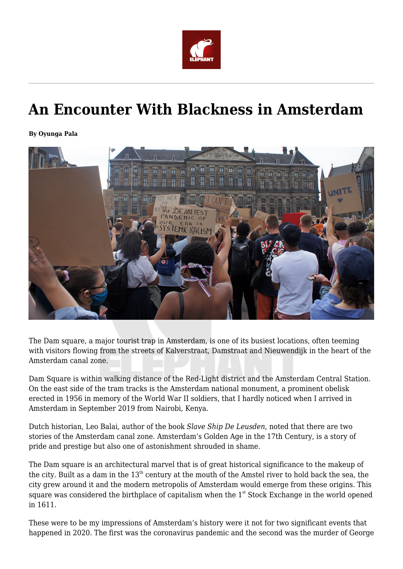

## **An Encounter With Blackness in Amsterdam**

**By Oyunga Pala**



The Dam square, a major tourist trap in Amsterdam, is one of its busiest locations, often teeming with visitors flowing from the streets of Kalverstraat, Damstraat and Nieuwendijk in the heart of the Amsterdam canal zone.

Dam Square is within walking distance of the Red-Light district and the Amsterdam Central Station. On the east side of the tram tracks is the Amsterdam national monument, a prominent obelisk erected in 1956 in memory of the World War II soldiers, that I hardly noticed when I arrived in Amsterdam in September 2019 from Nairobi, Kenya.

Dutch historian, Leo Balai, author of the book *Slave Ship De Leusden*, noted that there are two stories of the Amsterdam canal zone. Amsterdam's Golden Age in the 17th Century, is a story of pride and prestige but also one of astonishment shrouded in shame.

The Dam square is an architectural marvel that is of great historical significance to the makeup of the city. Built as a dam in the  $13<sup>th</sup>$  century at the mouth of the Amstel river to hold back the sea, the city grew around it and the modern metropolis of Amsterdam would emerge from these origins. This square was considered the birthplace of capitalism when the  $1<sup>st</sup>$  Stock Exchange in the world opened in 1611.

These were to be my impressions of Amsterdam's history were it not for two significant events that happened in 2020. The first was the coronavirus pandemic and the second was the murder of George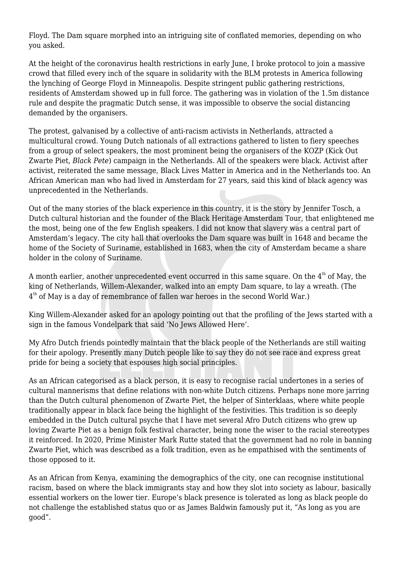Floyd. The Dam square morphed into an intriguing site of conflated memories, depending on who you asked.

At the height of the coronavirus health restrictions in early June, I broke protocol to join a massive crowd that filled every inch of the square in solidarity with the BLM protests in America following the lynching of George Floyd in Minneapolis. Despite stringent public gathering restrictions, residents of Amsterdam showed up in full force. The gathering was in violation of the 1.5m distance rule and despite the pragmatic Dutch sense, it was impossible to observe the social distancing demanded by the organisers.

The protest, galvanised by a collective of anti-racism activists in Netherlands, attracted a multicultural crowd. Young Dutch nationals of all extractions gathered to listen to fiery speeches from a group of select speakers, the most prominent being the organisers of the KOZP (Kick Out Zwarte Piet, *Black Pete*) campaign in the Netherlands. All of the speakers were black. Activist after activist, reiterated the same message, Black Lives Matter in America and in the Netherlands too. An African American man who had lived in Amsterdam for 27 years, said this kind of black agency was unprecedented in the Netherlands.

Out of the many stories of the black experience in this country, it is the story by Jennifer Tosch, a Dutch cultural historian and the founder of the Black Heritage Amsterdam Tour, that enlightened me the most, being one of the few English speakers. I did not know that slavery was a central part of Amsterdam's legacy. The city hall that overlooks the Dam square was built in 1648 and became the home of the Society of Suriname, established in 1683, when the city of Amsterdam became a share holder in the colony of Suriname.

A month earlier, another unprecedented event occurred in this same square. On the  $4<sup>th</sup>$  of May, the king of Netherlands, Willem-Alexander, walked into an empty Dam square, to lay a wreath. (The  $4^{\rm th}$  of May is a day of remembrance of fallen war heroes in the second World War.)

King Willem-Alexander asked for an apology pointing out that the profiling of the Jews started with a sign in the famous Vondelpark that said 'No Jews Allowed Here'.

My Afro Dutch friends pointedly maintain that the black people of the Netherlands are still waiting for their apology. Presently many Dutch people like to say they do not see race and express great pride for being a society that espouses high social principles.

As an African categorised as a black person, it is easy to recognise racial undertones in a series of cultural mannerisms that define relations with non-white Dutch citizens. Perhaps none more jarring than the Dutch cultural phenomenon of Zwarte Piet, the helper of Sinterklaas, where white people traditionally appear in black face being the highlight of the festivities. This tradition is so deeply embedded in the Dutch cultural psyche that I have met several Afro Dutch citizens who grew up loving Zwarte Piet as a benign folk festival character, being none the wiser to the racial stereotypes it reinforced. In 2020, Prime Minister Mark Rutte stated that the government had no role in banning Zwarte Piet, which was described as a folk tradition, even as he empathised with the sentiments of those opposed to it.

As an African from Kenya, examining the demographics of the city, one can recognise institutional racism, based on where the black immigrants stay and how they slot into society as labour, basically essential workers on the lower tier. Europe's black presence is tolerated as long as black people do not challenge the established status quo or as James Baldwin famously put it, "As long as you are good".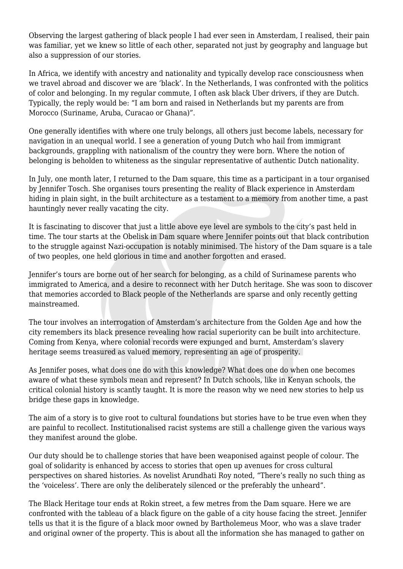Observing the largest gathering of black people I had ever seen in Amsterdam, I realised, their pain was familiar, yet we knew so little of each other, separated not just by geography and language but also a suppression of our stories.

In Africa, we identify with ancestry and nationality and typically develop race consciousness when we travel abroad and discover we are 'black'. In the Netherlands, I was confronted with the politics of color and belonging. In my regular commute, I often ask black Uber drivers, if they are Dutch. Typically, the reply would be: "I am born and raised in Netherlands but my parents are from Morocco (Suriname, Aruba, Curacao or Ghana)".

One generally identifies with where one truly belongs, all others just become labels, necessary for navigation in an unequal world. I see a generation of young Dutch who hail from immigrant backgrounds, grappling with nationalism of the country they were born. Where the notion of belonging is beholden to whiteness as the singular representative of authentic Dutch nationality.

In July, one month later, I returned to the Dam square, this time as a participant in a tour organised by Jennifer Tosch. She organises tours presenting the reality of Black experience in Amsterdam hiding in plain sight, in the built architecture as a testament to a memory from another time, a past hauntingly never really vacating the city.

It is fascinating to discover that just a little above eye level are symbols to the city's past held in time. The tour starts at the Obelisk in Dam square where Jennifer points out that black contribution to the struggle against Nazi-occupation is notably minimised. The history of the Dam square is a tale of two peoples, one held glorious in time and another forgotten and erased.

Jennifer's tours are borne out of her search for belonging, as a child of Surinamese parents who immigrated to America, and a desire to reconnect with her Dutch heritage. She was soon to discover that memories accorded to Black people of the Netherlands are sparse and only recently getting mainstreamed.

The tour involves an interrogation of Amsterdam's architecture from the Golden Age and how the city remembers its black presence revealing how racial superiority can be built into architecture. Coming from Kenya, where colonial records were expunged and burnt, Amsterdam's slavery heritage seems treasured as valued memory, representing an age of prosperity.

As Jennifer poses, what does one do with this knowledge? What does one do when one becomes aware of what these symbols mean and represent? In Dutch schools, like in Kenyan schools, the critical colonial history is scantly taught. It is more the reason why we need new stories to help us bridge these gaps in knowledge.

The aim of a story is to give root to cultural foundations but stories have to be true even when they are painful to recollect. Institutionalised racist systems are still a challenge given the various ways they manifest around the globe.

Our duty should be to challenge stories that have been weaponised against people of colour. The goal of solidarity is enhanced by access to stories that open up avenues for cross cultural perspectives on shared histories. As novelist Arundhati Roy noted, "There's really no such thing as the 'voiceless'. There are only the deliberately silenced or the preferably the unheard".

The Black Heritage tour ends at Rokin street, a few metres from the Dam square. Here we are confronted with the tableau of a black figure on the gable of a city house facing the street. Jennifer tells us that it is the figure of a black moor owned by Bartholemeus Moor, who was a slave trader and original owner of the property. This is about all the information she has managed to gather on